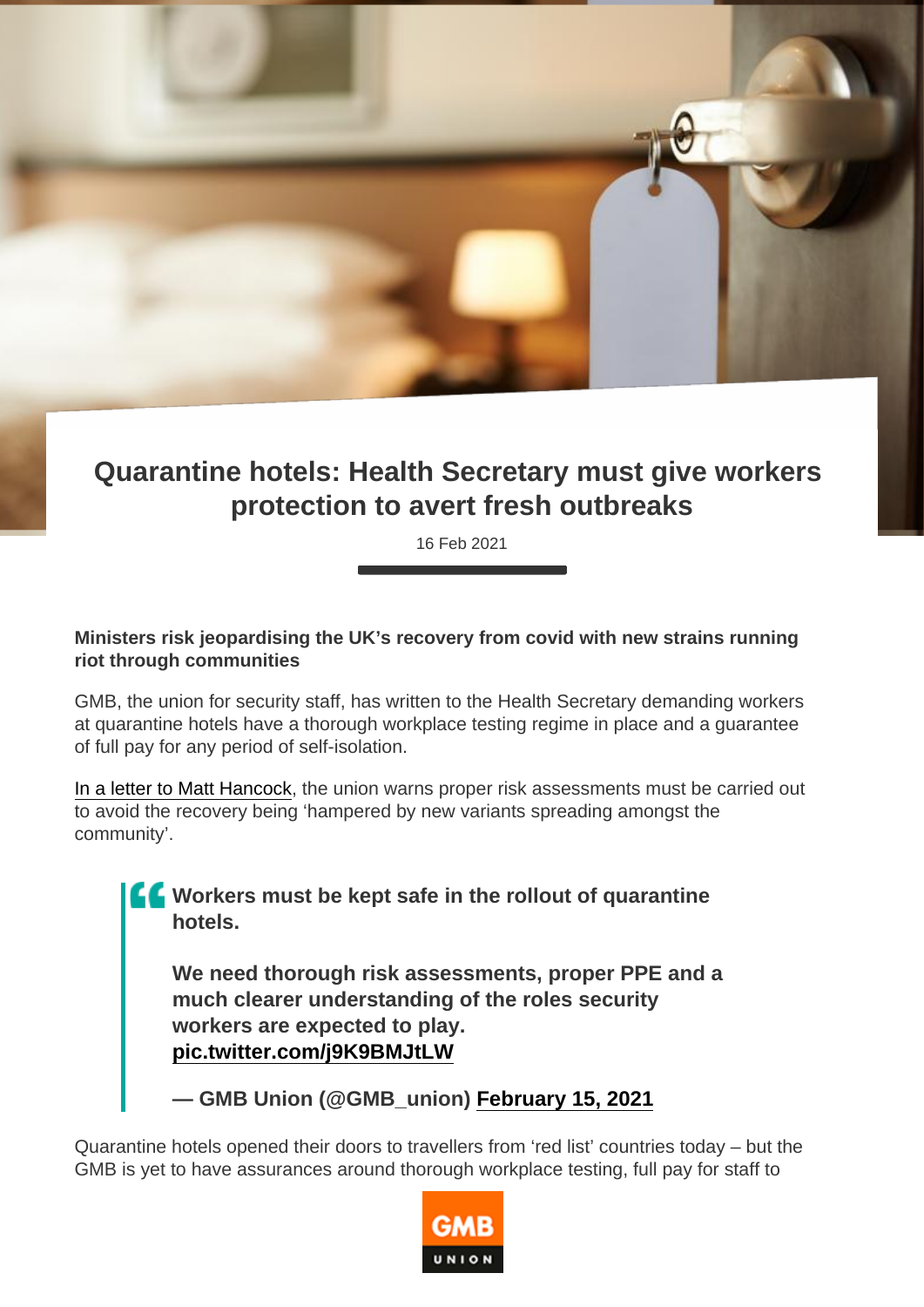## Quarantine hotels: Health Secretary must give workers protection to avert fresh outbreaks

16 Feb 2021

Ministers risk jeopardising the UK's recovery from covid with new strains running riot through communities

GMB, the union for security staff, has written to the Health Secretary demanding workers at quarantine hotels have a thorough workplace testing regime in place and a guarantee of full pay for any period of self-isolation.

[In a letter to Matt Hancock](https://gmb.org.uk/sites/default/files/hotel-letter-MHancock.pdf), the union warns proper risk assessments must be carried out to avoid the recovery being 'hampered by new variants spreading amongst the community'.

> Workers must be kept safe in the rollout of quarantine hotels.

We need thorough risk assessments, proper PPE and a much clearer understanding of the roles security workers are expected to play. [pic.twitter.com/j9K9BMJtLW](https://t.co/j9K9BMJtLW)

— GMB Union (@GMB\_union) [February 15, 2021](https://twitter.com/GMB_union/status/1361320398474907651?ref_src=twsrc^tfw)

Quarantine hotels opened their doors to travellers from 'red list' countries today – but the GMB is yet to have assurances around thorough workplace testing, full pay for staff to